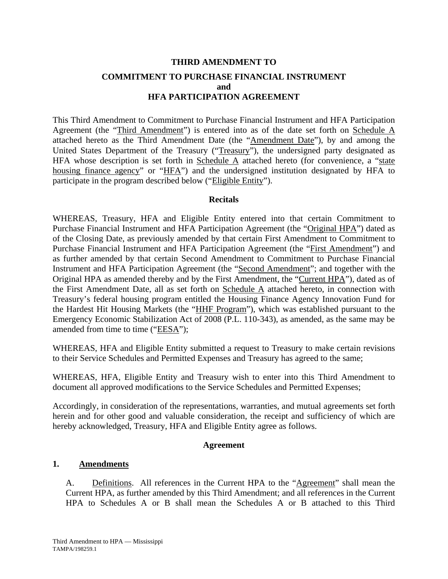## **THIRD AMENDMENT TO COMMITMENT TO PURCHASE FINANCIAL INSTRUMENT and HFA PARTICIPATION AGREEMENT**

This Third Amendment to Commitment to Purchase Financial Instrument and HFA Participation Agreement (the "Third Amendment") is entered into as of the date set forth on Schedule A attached hereto as the Third Amendment Date (the "Amendment Date"), by and among the United States Department of the Treasury ("Treasury"), the undersigned party designated as HFA whose description is set forth in Schedule  $\overline{A}$  attached hereto (for convenience, a "state housing finance agency" or "HFA") and the undersigned institution designated by HFA to participate in the program described below ("Eligible Entity").

### **Recitals**

WHEREAS, Treasury, HFA and Eligible Entity entered into that certain Commitment to Purchase Financial Instrument and HFA Participation Agreement (the "Original HPA") dated as of the Closing Date, as previously amended by that certain First Amendment to Commitment to Purchase Financial Instrument and HFA Participation Agreement (the "First Amendment") and as further amended by that certain Second Amendment to Commitment to Purchase Financial Instrument and HFA Participation Agreement (the "Second Amendment"; and together with the Original HPA as amended thereby and by the First Amendment, the "Current HPA"), dated as of the First Amendment Date, all as set forth on Schedule A attached hereto, in connection with Treasury's federal housing program entitled the Housing Finance Agency Innovation Fund for the Hardest Hit Housing Markets (the "HHF Program"), which was established pursuant to the Emergency Economic Stabilization Act of 2008 (P.L. 110-343), as amended, as the same may be amended from time to time ("EESA");

WHEREAS, HFA and Eligible Entity submitted a request to Treasury to make certain revisions to their Service Schedules and Permitted Expenses and Treasury has agreed to the same;

WHEREAS, HFA, Eligible Entity and Treasury wish to enter into this Third Amendment to document all approved modifications to the Service Schedules and Permitted Expenses;

Accordingly, in consideration of the representations, warranties, and mutual agreements set forth herein and for other good and valuable consideration, the receipt and sufficiency of which are hereby acknowledged, Treasury, HFA and Eligible Entity agree as follows.

### **Agreement**

## **1. Amendments**

A. Definitions. All references in the Current HPA to the "Agreement" shall mean the Current HPA, as further amended by this Third Amendment; and all references in the Current HPA to Schedules A or B shall mean the Schedules A or B attached to this Third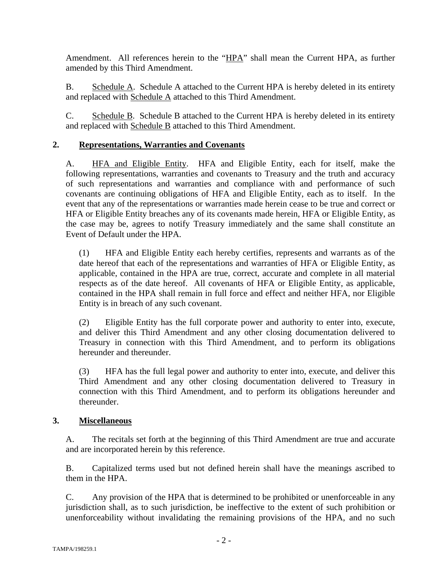Amendment. All references herein to the "HPA" shall mean the Current HPA, as further amended by this Third Amendment.

B. Schedule A. Schedule A attached to the Current HPA is hereby deleted in its entirety and replaced with Schedule A attached to this Third Amendment.

C. Schedule B. Schedule B attached to the Current HPA is hereby deleted in its entirety and replaced with Schedule B attached to this Third Amendment.

## **2. Representations, Warranties and Covenants**

A. HFA and Eligible Entity. HFA and Eligible Entity, each for itself, make the following representations, warranties and covenants to Treasury and the truth and accuracy of such representations and warranties and compliance with and performance of such covenants are continuing obligations of HFA and Eligible Entity, each as to itself. In the event that any of the representations or warranties made herein cease to be true and correct or HFA or Eligible Entity breaches any of its covenants made herein, HFA or Eligible Entity, as the case may be, agrees to notify Treasury immediately and the same shall constitute an Event of Default under the HPA.

(1) HFA and Eligible Entity each hereby certifies, represents and warrants as of the date hereof that each of the representations and warranties of HFA or Eligible Entity, as applicable, contained in the HPA are true, correct, accurate and complete in all material respects as of the date hereof. All covenants of HFA or Eligible Entity, as applicable, contained in the HPA shall remain in full force and effect and neither HFA, nor Eligible Entity is in breach of any such covenant.

(2) Eligible Entity has the full corporate power and authority to enter into, execute, and deliver this Third Amendment and any other closing documentation delivered to Treasury in connection with this Third Amendment, and to perform its obligations hereunder and thereunder.

(3) HFA has the full legal power and authority to enter into, execute, and deliver this Third Amendment and any other closing documentation delivered to Treasury in connection with this Third Amendment, and to perform its obligations hereunder and thereunder.

## **3. Miscellaneous**

A. The recitals set forth at the beginning of this Third Amendment are true and accurate and are incorporated herein by this reference.

B. Capitalized terms used but not defined herein shall have the meanings ascribed to them in the HPA.

C. Any provision of the HPA that is determined to be prohibited or unenforceable in any jurisdiction shall, as to such jurisdiction, be ineffective to the extent of such prohibition or unenforceability without invalidating the remaining provisions of the HPA, and no such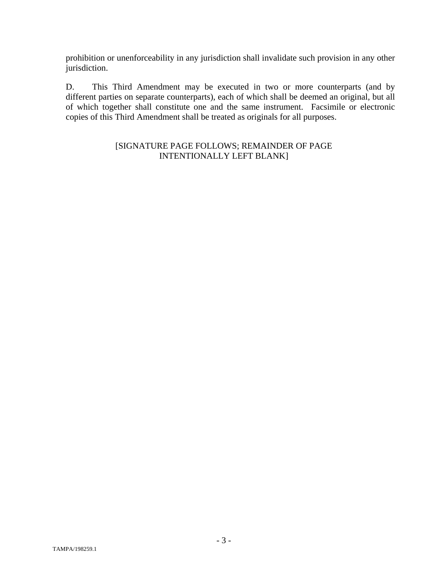prohibition or unenforceability in any jurisdiction shall invalidate such provision in any other jurisdiction.

D. This Third Amendment may be executed in two or more counterparts (and by different parties on separate counterparts), each of which shall be deemed an original, but all of which together shall constitute one and the same instrument. Facsimile or electronic copies of this Third Amendment shall be treated as originals for all purposes.

## [SIGNATURE PAGE FOLLOWS; REMAINDER OF PAGE INTENTIONALLY LEFT BLANK]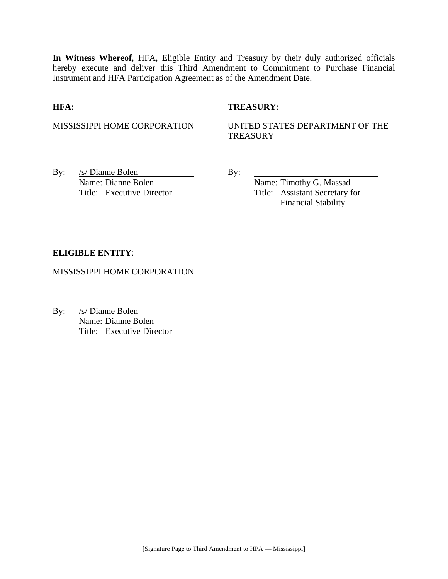**In Witness Whereof**, HFA, Eligible Entity and Treasury by their duly authorized officials hereby execute and deliver this Third Amendment to Commitment to Purchase Financial Instrument and HFA Participation Agreement as of the Amendment Date.

#### **HFA**: **TREASURY**:

MISSISSIPPI HOME CORPORATION UNITED STATES DEPARTMENT OF THE **TREASURY** 

By: <u>/s/ Dianne Bolen</u> By: Name: Dianne Bolen Name: Timothy G. Massad

Title: Executive Director Title: Assistant Secretary for Financial Stability

#### **ELIGIBLE ENTITY**:

MISSISSIPPI HOME CORPORATION

By: /s/ Dianne Bolen Name: Dianne Bolen Title: Executive Director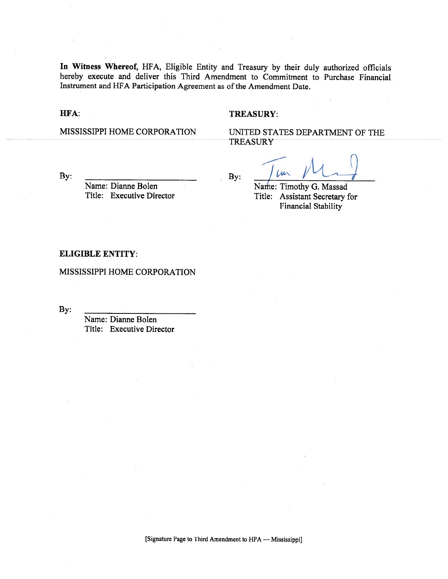In Witness Whereof, HFA, Eligible Entity and Treasury by their duly authorized officials hereby execute and deliver this Third Amendment to Commitment to Purchase Financial Instrument and HFA Participation Agreement as of the Amendment Date.

#### HFA:

#### **TREASURY:**

MISSISSIPPI HOME CORPORATION

UNITED STATES DEPARTMENT OF THE **TREASURY** 

By:

Name: Dianne Bolen Title: Executive Director By:

 $\mu$ 

Name: Timothy G. Massad Title: Assistant Secretary for **Financial Stability** 

#### **ELIGIBLE ENTITY:**

MISSISSIPPI HOME CORPORATION

By:

Name: Dianne Bolen Title: Executive Director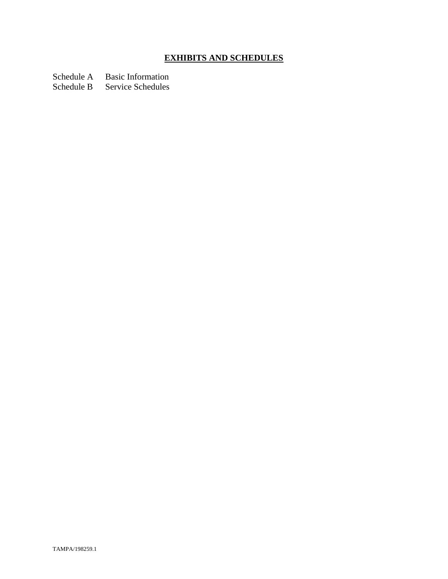# **EXHIBITS AND SCHEDULES**

Schedule A Basic Information

Schedule B Service Schedules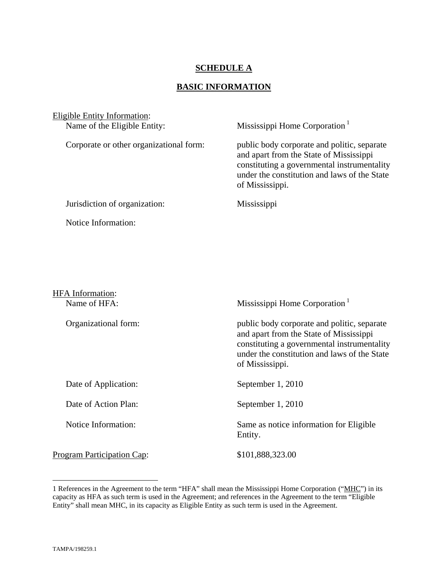## **SCHEDULE A**

## **BASIC INFORMATION**

| <b>Eligible Entity Information:</b>     |                                                                                                                                                                                                          |
|-----------------------------------------|----------------------------------------------------------------------------------------------------------------------------------------------------------------------------------------------------------|
| Name of the Eligible Entity:            | Mississippi Home Corporation <sup>1</sup>                                                                                                                                                                |
| Corporate or other organizational form: | public body corporate and politic, separate<br>and apart from the State of Mississippi<br>constituting a governmental instrumentality<br>under the constitution and laws of the State<br>of Mississippi. |
| Jurisdiction of organization:           | Mississippi                                                                                                                                                                                              |
| Notice Information:                     |                                                                                                                                                                                                          |
|                                         |                                                                                                                                                                                                          |
|                                         |                                                                                                                                                                                                          |
|                                         |                                                                                                                                                                                                          |
| <b>HFA</b> Information:                 |                                                                                                                                                                                                          |
| Name of HFA:                            | Mississippi Home Corporation <sup>1</sup>                                                                                                                                                                |
| Organizational form:                    | public body corporate and politic, separate<br>and apart from the State of Mississippi<br>constituting a governmental instrumentality<br>under the constitution and laws of the State<br>of Mississippi. |
| Date of Application:                    | September 1, 2010                                                                                                                                                                                        |
| Date of Action Plan:                    | September 1, 2010                                                                                                                                                                                        |

Notice Information: Same as notice information for Eligible

Program Participation Cap: \$101,888,323.00

Entity.

1

<sup>1</sup> References in the Agreement to the term "HFA" shall mean the Mississippi Home Corporation ("MHC") in its capacity as HFA as such term is used in the Agreement; and references in the Agreement to the term "Eligible Entity" shall mean MHC, in its capacity as Eligible Entity as such term is used in the Agreement.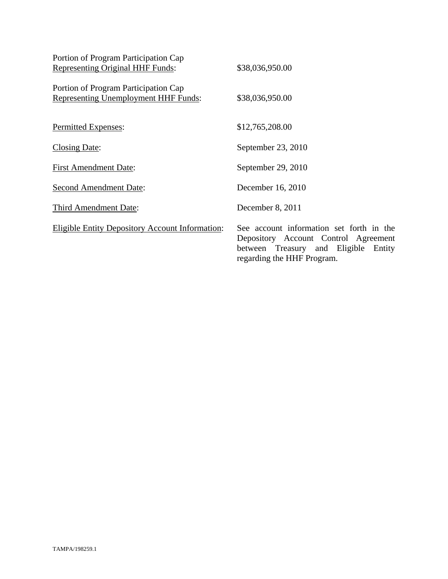| Portion of Program Participation Cap                                                |                                                                                                                                                        |
|-------------------------------------------------------------------------------------|--------------------------------------------------------------------------------------------------------------------------------------------------------|
| <b>Representing Original HHF Funds:</b>                                             | \$38,036,950.00                                                                                                                                        |
| Portion of Program Participation Cap<br><b>Representing Unemployment HHF Funds:</b> | \$38,036,950.00                                                                                                                                        |
| Permitted Expenses:                                                                 | \$12,765,208.00                                                                                                                                        |
| <b>Closing Date:</b>                                                                | September 23, 2010                                                                                                                                     |
| <b>First Amendment Date:</b>                                                        | September 29, 2010                                                                                                                                     |
| <b>Second Amendment Date:</b>                                                       | December 16, 2010                                                                                                                                      |
| Third Amendment Date:                                                               | December 8, 2011                                                                                                                                       |
| <b>Eligible Entity Depository Account Information:</b>                              | See account information set forth in the<br>Depository Account Control Agreement<br>between Treasury and Eligible Entity<br>regarding the HHF Program. |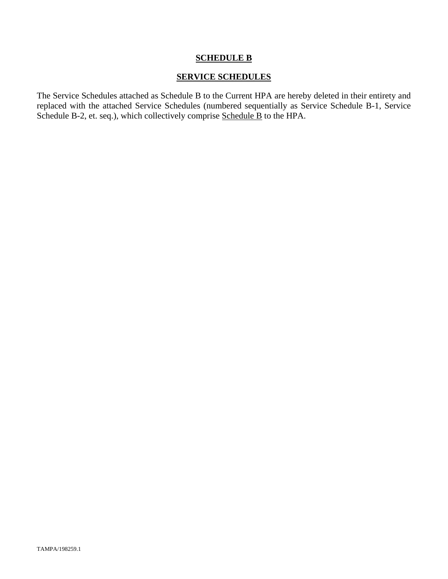### **SCHEDULE B**

## **SERVICE SCHEDULES**

The Service Schedules attached as Schedule B to the Current HPA are hereby deleted in their entirety and replaced with the attached Service Schedules (numbered sequentially as Service Schedule B-1, Service Schedule B-2, et. seq.), which collectively comprise Schedule B to the HPA.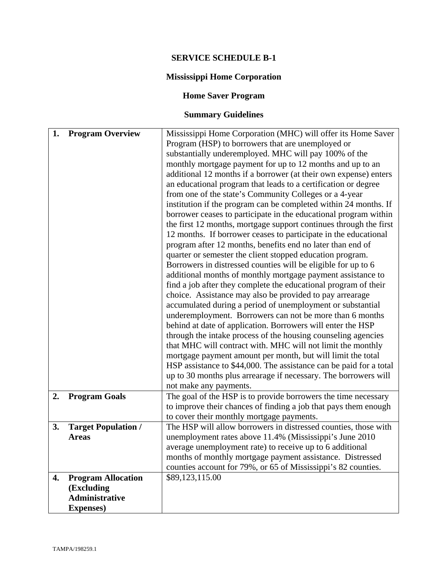## **SERVICE SCHEDULE B-1**

## **Mississippi Home Corporation**

## **Home Saver Program**

# **Summary Guidelines**

| 1. | <b>Program Overview</b>    | Mississippi Home Corporation (MHC) will offer its Home Saver                                                               |
|----|----------------------------|----------------------------------------------------------------------------------------------------------------------------|
|    |                            | Program (HSP) to borrowers that are unemployed or                                                                          |
|    |                            | substantially underemployed. MHC will pay 100% of the                                                                      |
|    |                            | monthly mortgage payment for up to 12 months and up to an                                                                  |
|    |                            | additional 12 months if a borrower (at their own expense) enters                                                           |
|    |                            | an educational program that leads to a certification or degree                                                             |
|    |                            | from one of the state's Community Colleges or a 4-year                                                                     |
|    |                            | institution if the program can be completed within 24 months. If                                                           |
|    |                            | borrower ceases to participate in the educational program within                                                           |
|    |                            | the first 12 months, mortgage support continues through the first                                                          |
|    |                            | 12 months. If borrower ceases to participate in the educational                                                            |
|    |                            | program after 12 months, benefits end no later than end of                                                                 |
|    |                            | quarter or semester the client stopped education program.                                                                  |
|    |                            | Borrowers in distressed counties will be eligible for up to 6                                                              |
|    |                            | additional months of monthly mortgage payment assistance to                                                                |
|    |                            | find a job after they complete the educational program of their                                                            |
|    |                            | choice. Assistance may also be provided to pay arrearage                                                                   |
|    |                            | accumulated during a period of unemployment or substantial                                                                 |
|    |                            | underemployment. Borrowers can not be more than 6 months                                                                   |
|    |                            | behind at date of application. Borrowers will enter the HSP                                                                |
|    |                            | through the intake process of the housing counseling agencies                                                              |
|    |                            | that MHC will contract with. MHC will not limit the monthly                                                                |
|    |                            | mortgage payment amount per month, but will limit the total                                                                |
|    |                            | HSP assistance to \$44,000. The assistance can be paid for a total                                                         |
|    |                            | up to 30 months plus arrearage if necessary. The borrowers will                                                            |
|    |                            | not make any payments.                                                                                                     |
| 2. | <b>Program Goals</b>       | The goal of the HSP is to provide borrowers the time necessary                                                             |
|    |                            | to improve their chances of finding a job that pays them enough                                                            |
|    |                            | to cover their monthly mortgage payments.                                                                                  |
| 3. | <b>Target Population /</b> | The HSP will allow borrowers in distressed counties, those with                                                            |
|    | <b>Areas</b>               | unemployment rates above 11.4% (Mississippi's June 2010                                                                    |
|    |                            | average unemployment rate) to receive up to 6 additional                                                                   |
|    |                            |                                                                                                                            |
|    |                            | months of monthly mortgage payment assistance. Distressed<br>counties account for 79%, or 65 of Mississippi's 82 counties. |
|    |                            | \$89,123,115.00                                                                                                            |
| 4. | <b>Program Allocation</b>  |                                                                                                                            |
|    | (Excluding                 |                                                                                                                            |
|    | <b>Administrative</b>      |                                                                                                                            |
|    | <b>Expenses</b> )          |                                                                                                                            |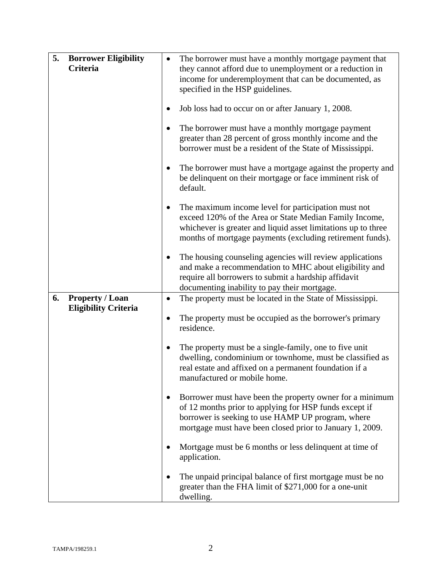| 5. | <b>Borrower Eligibility</b><br>Criteria | ٠         | The borrower must have a monthly mortgage payment that<br>they cannot afford due to unemployment or a reduction in                                                                                                                          |
|----|-----------------------------------------|-----------|---------------------------------------------------------------------------------------------------------------------------------------------------------------------------------------------------------------------------------------------|
|    |                                         |           | income for underemployment that can be documented, as<br>specified in the HSP guidelines.                                                                                                                                                   |
|    |                                         |           | Job loss had to occur on or after January 1, 2008.                                                                                                                                                                                          |
|    |                                         | $\bullet$ | The borrower must have a monthly mortgage payment<br>greater than 28 percent of gross monthly income and the<br>borrower must be a resident of the State of Mississippi.                                                                    |
|    |                                         | ٠         | The borrower must have a mortgage against the property and<br>be delinquent on their mortgage or face imminent risk of<br>default.                                                                                                          |
|    |                                         |           | The maximum income level for participation must not<br>exceed 120% of the Area or State Median Family Income,<br>whichever is greater and liquid asset limitations up to three<br>months of mortgage payments (excluding retirement funds). |
|    |                                         |           | The housing counseling agencies will review applications<br>and make a recommendation to MHC about eligibility and<br>require all borrowers to submit a hardship affidavit                                                                  |
| 6. | <b>Property / Loan</b>                  |           | documenting inability to pay their mortgage.                                                                                                                                                                                                |
|    | <b>Eligibility Criteria</b>             |           | The property must be located in the State of Mississippi.                                                                                                                                                                                   |
|    |                                         |           | The property must be occupied as the borrower's primary<br>residence.                                                                                                                                                                       |
|    |                                         | $\bullet$ | The property must be a single-family, one to five unit<br>dwelling, condominium or townhome, must be classified as<br>real estate and affixed on a permanent foundation if a<br>manufactured or mobile home                                 |
|    |                                         |           | Borrower must have been the property owner for a minimum<br>of 12 months prior to applying for HSP funds except if<br>borrower is seeking to use HAMP UP program, where<br>mortgage must have been closed prior to January 1, 2009.         |
|    |                                         |           | Mortgage must be 6 months or less delinquent at time of<br>application.                                                                                                                                                                     |
|    |                                         |           | The unpaid principal balance of first mortgage must be no<br>greater than the FHA limit of \$271,000 for a one-unit<br>dwelling.                                                                                                            |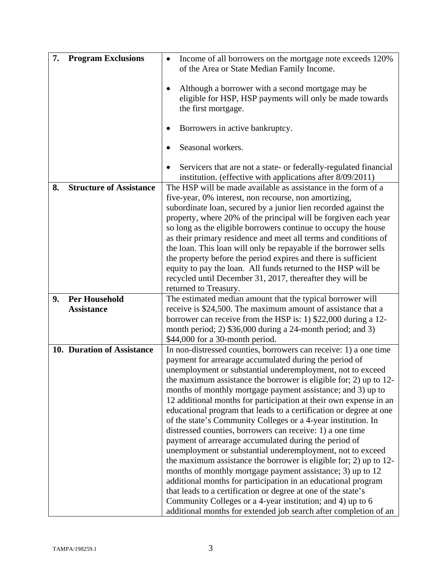| 7. | <b>Program Exclusions</b>                 | Income of all borrowers on the mortgage note exceeds 120%<br>$\bullet$<br>of the Area or State Median Family Income.                |
|----|-------------------------------------------|-------------------------------------------------------------------------------------------------------------------------------------|
|    |                                           | Although a borrower with a second mortgage may be                                                                                   |
|    |                                           | eligible for HSP, HSP payments will only be made towards                                                                            |
|    |                                           | the first mortgage.                                                                                                                 |
|    |                                           |                                                                                                                                     |
|    |                                           | Borrowers in active bankruptcy.                                                                                                     |
|    |                                           | Seasonal workers.                                                                                                                   |
|    |                                           | Servicers that are not a state- or federally-regulated financial                                                                    |
| 8. | <b>Structure of Assistance</b>            | institution. (effective with applications after 8/09/2011)<br>The HSP will be made available as assistance in the form of a         |
|    |                                           | five-year, 0% interest, non recourse, non amortizing,                                                                               |
|    |                                           | subordinate loan, secured by a junior lien recorded against the                                                                     |
|    |                                           | property, where 20% of the principal will be forgiven each year                                                                     |
|    |                                           | so long as the eligible borrowers continue to occupy the house                                                                      |
|    |                                           | as their primary residence and meet all terms and conditions of<br>the loan. This loan will only be repayable if the borrower sells |
|    |                                           | the property before the period expires and there is sufficient                                                                      |
|    |                                           | equity to pay the loan. All funds returned to the HSP will be                                                                       |
|    |                                           | recycled until December 31, 2017, thereafter they will be                                                                           |
|    |                                           | returned to Treasury.                                                                                                               |
| 9. | <b>Per Household</b><br><b>Assistance</b> | The estimated median amount that the typical borrower will                                                                          |
|    |                                           | receive is \$24,500. The maximum amount of assistance that a<br>borrower can receive from the HSP is: 1) \$22,000 during a 12-      |
|    |                                           | month period; 2) \$36,000 during a 24-month period; and 3)                                                                          |
|    |                                           | \$44,000 for a 30-month period.                                                                                                     |
|    | 10. Duration of Assistance                | In non-distressed counties, borrowers can receive: 1) a one time                                                                    |
|    |                                           | payment for arrearage accumulated during the period of                                                                              |
|    |                                           | unemployment or substantial underemployment, not to exceed<br>the maximum assistance the borrower is eligible for; 2) up to 12-     |
|    |                                           | months of monthly mortgage payment assistance; and 3) up to                                                                         |
|    |                                           | 12 additional months for participation at their own expense in an                                                                   |
|    |                                           | educational program that leads to a certification or degree at one                                                                  |
|    |                                           | of the state's Community Colleges or a 4-year institution. In                                                                       |
|    |                                           | distressed counties, borrowers can receive: 1) a one time                                                                           |
|    |                                           | payment of arrearage accumulated during the period of<br>unemployment or substantial underemployment, not to exceed                 |
|    |                                           | the maximum assistance the borrower is eligible for; 2) up to 12-                                                                   |
|    |                                           | months of monthly mortgage payment assistance; 3) up to 12                                                                          |
|    |                                           | additional months for participation in an educational program                                                                       |
|    |                                           | that leads to a certification or degree at one of the state's                                                                       |
|    |                                           | Community Colleges or a 4-year institution; and 4) up to 6                                                                          |
|    |                                           | additional months for extended job search after completion of an                                                                    |